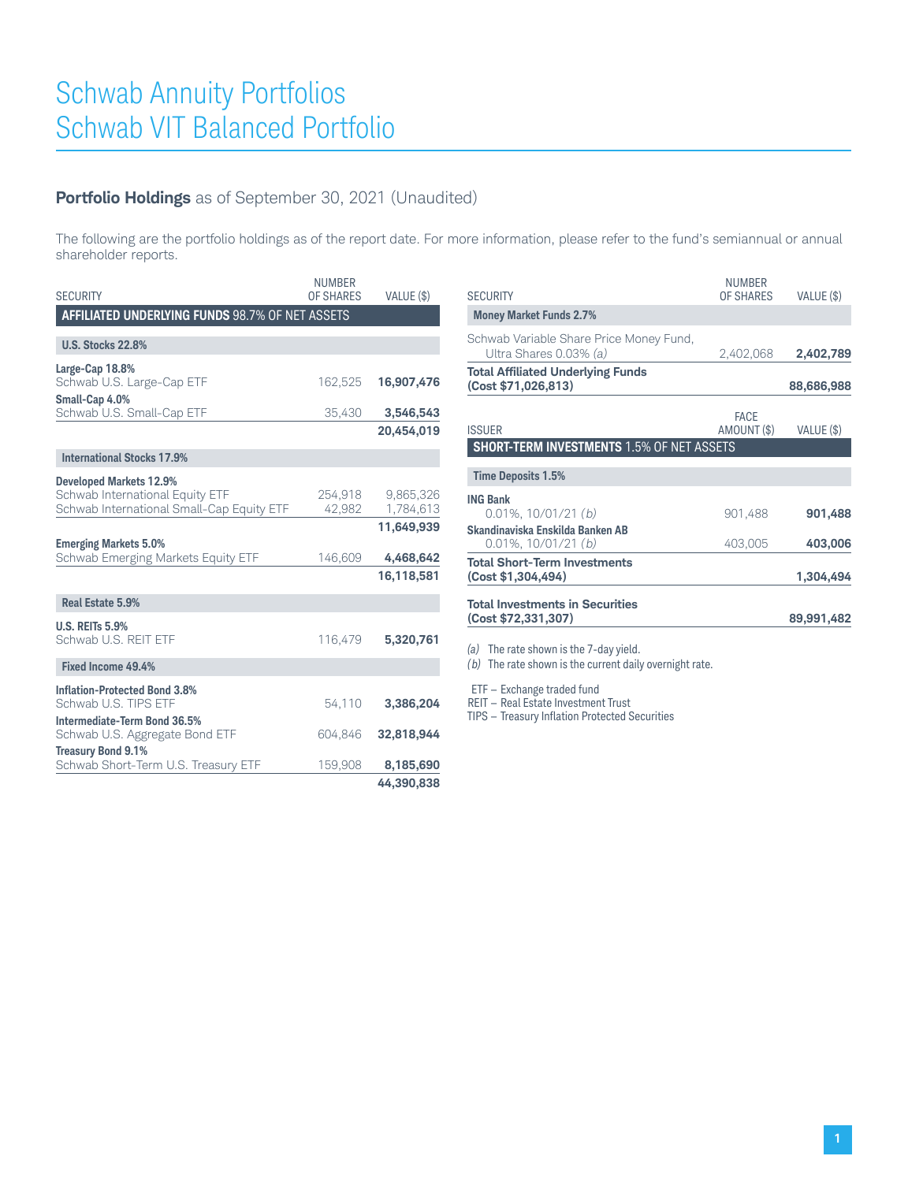#### **Portfolio Holdings** as of September 30, 2021 (Unaudited)

The following are the portfolio holdings as of the report date. For more information, please refer to the fund's semiannual or annual shareholder reports.

| <b>SECURITY</b>                                 | <b>NUMBER</b><br>OF SHARES | VALUE (\$) |
|-------------------------------------------------|----------------------------|------------|
| AFFILIATED UNDERLYING FUNDS 98.7% OF NET ASSETS |                            |            |
| <b>U.S. Stocks 22.8%</b>                        |                            |            |
| Large-Cap 18.8%                                 |                            |            |
| Schwab U.S. Large-Cap ETF                       | 162,525                    | 16,907,476 |
| Small-Cap 4.0%                                  |                            |            |
| Schwab U.S. Small-Cap ETF                       | 35,430                     | 3,546,543  |
|                                                 |                            | 20,454,019 |
| <b>International Stocks 17.9%</b>               |                            |            |
| <b>Developed Markets 12.9%</b>                  |                            |            |
| Schwab International Equity ETF                 | 254,918                    | 9,865,326  |
| Schwab International Small-Cap Equity ETF       | 42,982                     | 1,784,613  |
|                                                 |                            | 11,649,939 |
| <b>Emerging Markets 5.0%</b>                    |                            |            |
| Schwab Emerging Markets Equity ETF              | 146,609                    | 4,468,642  |
|                                                 |                            | 16,118,581 |
| Real Estate 5.9%                                |                            |            |
| <b>U.S. REITs 5.9%</b>                          |                            |            |
| Schwab U.S. REIT ETF                            | 116,479                    | 5,320,761  |
| Fixed Income 49.4%                              |                            |            |
| <b>Inflation-Protected Bond 3.8%</b>            |                            |            |
| Schwab U.S. TIPS ETF                            | 54,110                     | 3,386,204  |
| Intermediate-Term Bond 36.5%                    |                            |            |
| Schwab U.S. Aggregate Bond ETF                  | 604,846                    | 32,818,944 |
| <b>Treasury Bond 9.1%</b>                       |                            |            |
| Schwab Short-Term U.S. Treasury ETF             | 159,908                    | 8,185,690  |
|                                                 |                            | 44,390,838 |

| SECURITY                                                          | <b>NUMBER</b><br>OF SHARES | VALUE (\$) |
|-------------------------------------------------------------------|----------------------------|------------|
| <b>Money Market Funds 2.7%</b>                                    |                            |            |
| Schwab Variable Share Price Money Fund,<br>Ultra Shares 0.03% (a) | 2,402,068                  | 2,402,789  |
| <b>Total Affiliated Underlying Funds</b><br>(Cost \$71,026,813)   |                            | 88,686,988 |
| <b>ISSUER</b>                                                     | <b>FACE</b><br>AMOUNT (\$) | VALUE (\$) |
| <b>SHORT-TERM INVESTMENTS 1.5% OF NET ASSETS</b>                  |                            |            |
| <b>Time Deposits 1.5%</b>                                         |                            |            |
| <b>ING Bank</b><br>$0.01\%$ , $10/01/21$ (b)                      | 901,488                    | 901,488    |
| Skandinaviska Enskilda Banken AB<br>$0.01\%$ , $10/01/21$ (b)     | 403,005                    | 403,006    |
| <b>Total Short-Term Investments</b><br>(Cost \$1,304,494)         |                            | 1,304,494  |
| <b>Total Investments in Securities</b><br>(Cost \$72,331,307)     |                            | 89,991,482 |
|                                                                   |                            |            |

*(a)* The rate shown is the 7-day yield.

*(b)* The rate shown is the current daily overnight rate.

ETF — Exchange traded fund

REIT — Real Estate Investment Trust

TIPS — Treasury Inflation Protected Securities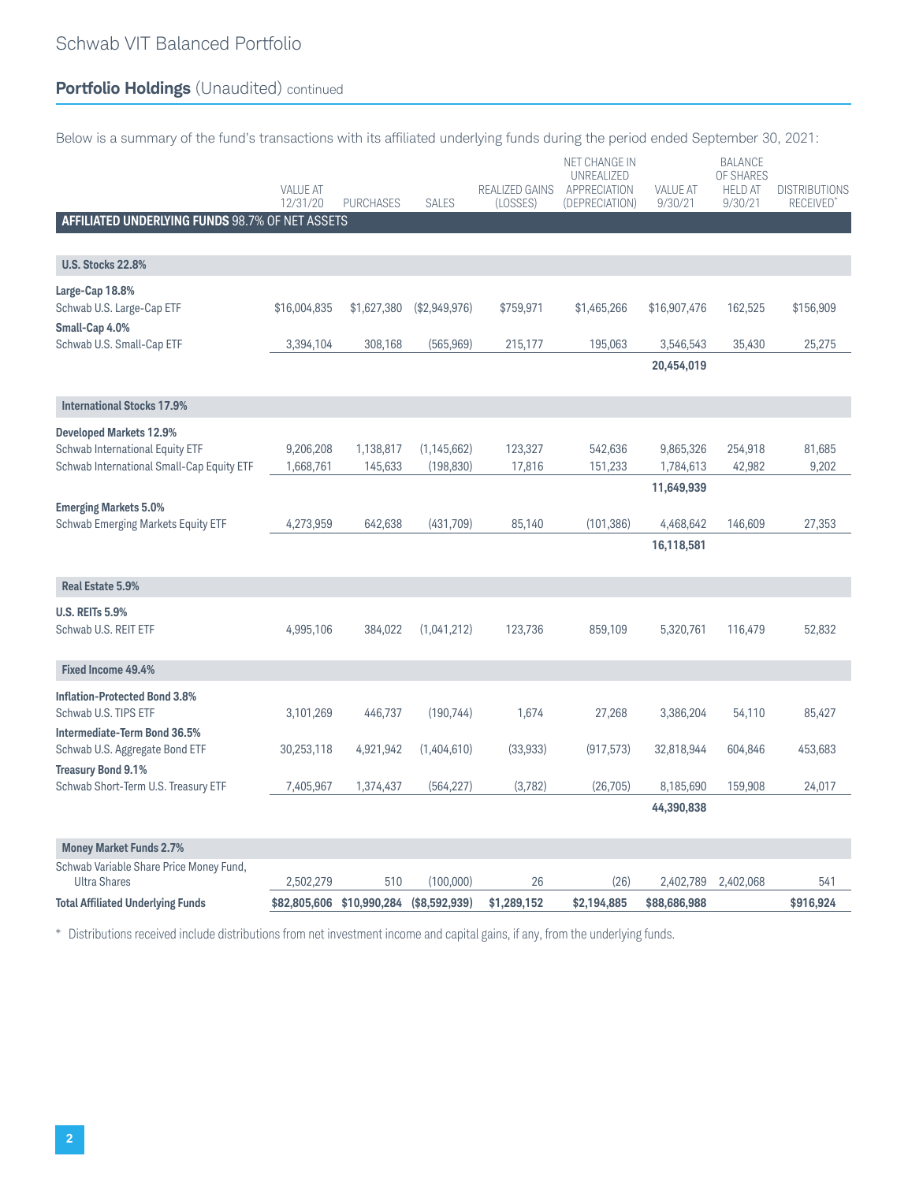# **Portfolio Holdings** (Unaudited) continued

Below is a summary of the fund's transactions with its affiliated underlying funds during the period ended September 30, 2021:

| AFFILIATED UNDERLYING FUNDS 98.7% OF NET ASSETS                                                                | <b>VALUE AT</b><br>12/31/20 | <b>PURCHASES</b>     | <b>SALES</b>                | REALIZED GAINS<br>(LOSSES) | NET CHANGE IN<br>UNREALIZED<br>APPRECIATION<br>(DEPRECIATION) | <b>VALUE AT</b><br>9/30/21 | <b>BALANCE</b><br>OF SHARES<br><b>HELD AT</b><br>9/30/21 | <b>DISTRIBUTIONS</b><br><b>RECEIVED</b> |
|----------------------------------------------------------------------------------------------------------------|-----------------------------|----------------------|-----------------------------|----------------------------|---------------------------------------------------------------|----------------------------|----------------------------------------------------------|-----------------------------------------|
|                                                                                                                |                             |                      |                             |                            |                                                               |                            |                                                          |                                         |
| <b>U.S. Stocks 22.8%</b>                                                                                       |                             |                      |                             |                            |                                                               |                            |                                                          |                                         |
| Large-Cap 18.8%<br>Schwab U.S. Large-Cap ETF<br>Small-Cap 4.0%                                                 | \$16,004,835                | \$1,627,380          | (\$2,949,976)               | \$759,971                  | \$1,465,266                                                   | \$16,907,476               | 162,525                                                  | \$156,909                               |
| Schwab U.S. Small-Cap ETF                                                                                      | 3,394,104                   | 308,168              | (565, 969)                  | 215,177                    | 195,063                                                       | 3,546,543                  | 35,430                                                   | 25,275                                  |
|                                                                                                                |                             |                      |                             |                            |                                                               | 20,454,019                 |                                                          |                                         |
| <b>International Stocks 17.9%</b>                                                                              |                             |                      |                             |                            |                                                               |                            |                                                          |                                         |
| <b>Developed Markets 12.9%</b><br>Schwab International Equity ETF<br>Schwab International Small-Cap Equity ETF | 9,206,208<br>1,668,761      | 1,138,817<br>145,633 | (1, 145, 662)<br>(198, 830) | 123,327<br>17,816          | 542,636<br>151,233                                            | 9,865,326<br>1,784,613     | 254,918<br>42,982                                        | 81,685<br>9,202                         |
|                                                                                                                |                             |                      |                             |                            |                                                               | 11,649,939                 |                                                          |                                         |
| <b>Emerging Markets 5.0%</b><br><b>Schwab Emerging Markets Equity ETF</b>                                      | 4,273,959                   | 642,638              | (431,709)                   | 85,140                     | (101, 386)                                                    | 4,468,642                  | 146,609                                                  | 27,353                                  |
|                                                                                                                |                             |                      |                             |                            |                                                               | 16,118,581                 |                                                          |                                         |
| Real Estate 5.9%                                                                                               |                             |                      |                             |                            |                                                               |                            |                                                          |                                         |
| <b>U.S. REITs 5.9%</b><br>Schwab U.S. REIT ETF                                                                 | 4,995,106                   | 384,022              | (1,041,212)                 | 123,736                    | 859,109                                                       | 5,320,761                  | 116,479                                                  | 52,832                                  |
| Fixed Income 49.4%                                                                                             |                             |                      |                             |                            |                                                               |                            |                                                          |                                         |
| <b>Inflation-Protected Bond 3.8%</b><br>Schwab U.S. TIPS ETF                                                   | 3,101,269                   | 446,737              | (190, 744)                  | 1,674                      | 27,268                                                        | 3,386,204                  | 54,110                                                   | 85,427                                  |
| Intermediate-Term Bond 36.5%<br>Schwab U.S. Aggregate Bond ETF                                                 | 30,253,118                  | 4,921,942            | (1,404,610)                 | (33,933)                   | (917, 573)                                                    | 32,818,944                 | 604,846                                                  | 453,683                                 |
| <b>Treasury Bond 9.1%</b><br>Schwab Short-Term U.S. Treasury ETF                                               | 7,405,967                   | 1,374,437            | (564, 227)                  | (3,782)                    | (26,705)                                                      | 8,185,690                  | 159,908                                                  | 24,017                                  |
|                                                                                                                |                             |                      |                             |                            |                                                               | 44,390,838                 |                                                          |                                         |
| <b>Money Market Funds 2.7%</b>                                                                                 |                             |                      |                             |                            |                                                               |                            |                                                          |                                         |
| Schwab Variable Share Price Money Fund,<br><b>Ultra Shares</b>                                                 | 2,502,279                   | 510                  | (100,000)                   | 26                         | (26)                                                          | 2,402,789                  | 2,402,068                                                | 541                                     |
| <b>Total Affiliated Underlying Funds</b>                                                                       | \$82,805,606                | \$10,990,284         | (\$8,592,939)               | \$1,289,152                | \$2,194,885                                                   | \$88,686,988               |                                                          | \$916.924                               |

\* Distributions received include distributions from net investment income and capital gains, if any, from the underlying funds.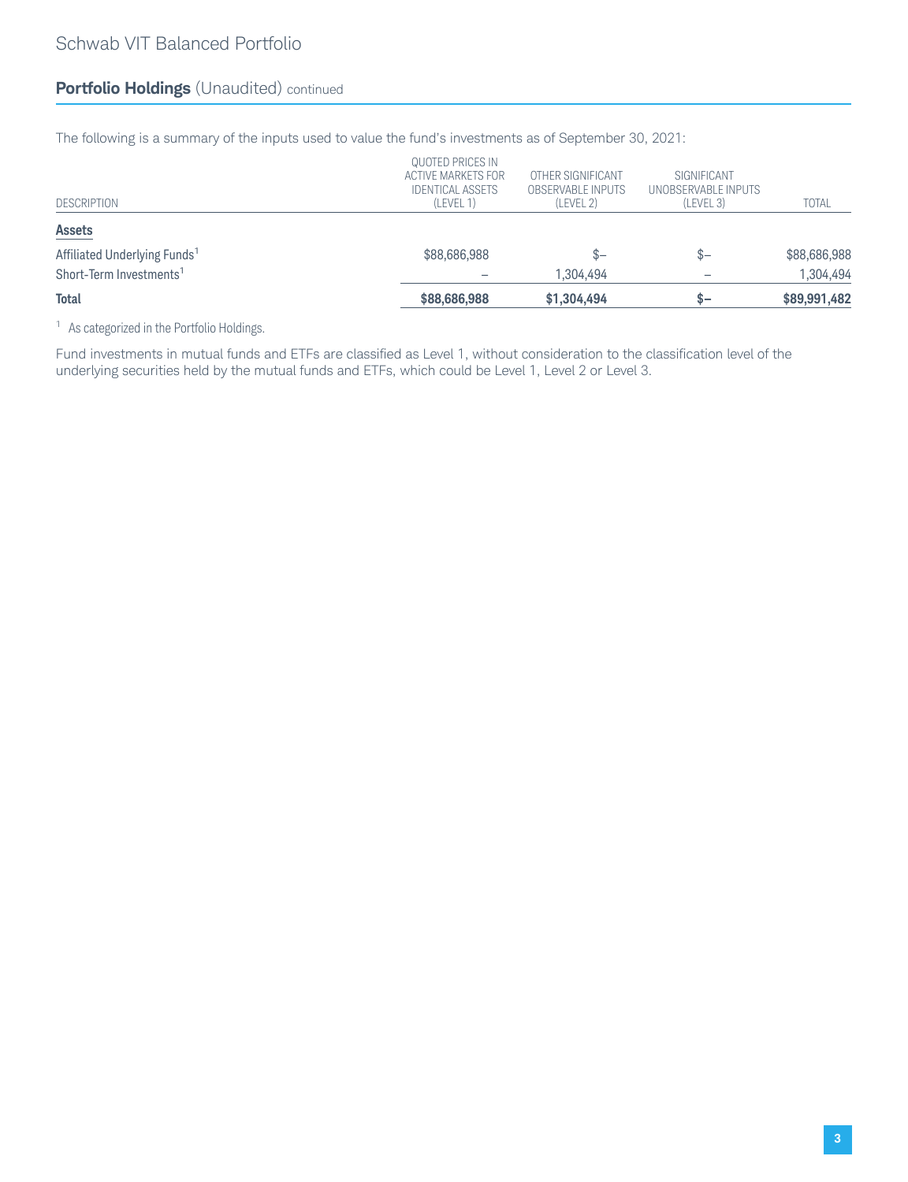## **Portfolio Holdings** (Unaudited) continued

The following is a summary of the inputs used to value the fund's investments as of September 30, 2021:

|                                          | QUOTED PRICES IN          |                   |                     |              |
|------------------------------------------|---------------------------|-------------------|---------------------|--------------|
|                                          | <b>ACTIVE MARKETS FOR</b> | OTHER SIGNIFICANT | SIGNIFICANT         |              |
|                                          | <b>IDENTICAL ASSETS</b>   | OBSERVABLE INPUTS | UNOBSERVABLE INPUTS |              |
| <b>DESCRIPTION</b>                       | (LEVEL 1)                 | (LEVEL 2)         | (LEVEL 3)           | <b>TOTAL</b> |
| <b>Assets</b>                            |                           |                   |                     |              |
| Affiliated Underlying Funds <sup>1</sup> | \$88,686,988              | $S-$              | $S-$                | \$88,686,988 |
| Short-Term Investments <sup>1</sup>      |                           | 1.304.494         |                     | 1,304,494    |
| <b>Total</b>                             | \$88,686,988              | \$1,304,494       | $S-$                | \$89,991,482 |

<sup>1</sup> As categorized in the Portfolio Holdings.

Fund investments in mutual funds and ETFs are classified as Level 1, without consideration to the classification level of the underlying securities held by the mutual funds and ETFs, which could be Level 1, Level 2 or Level 3.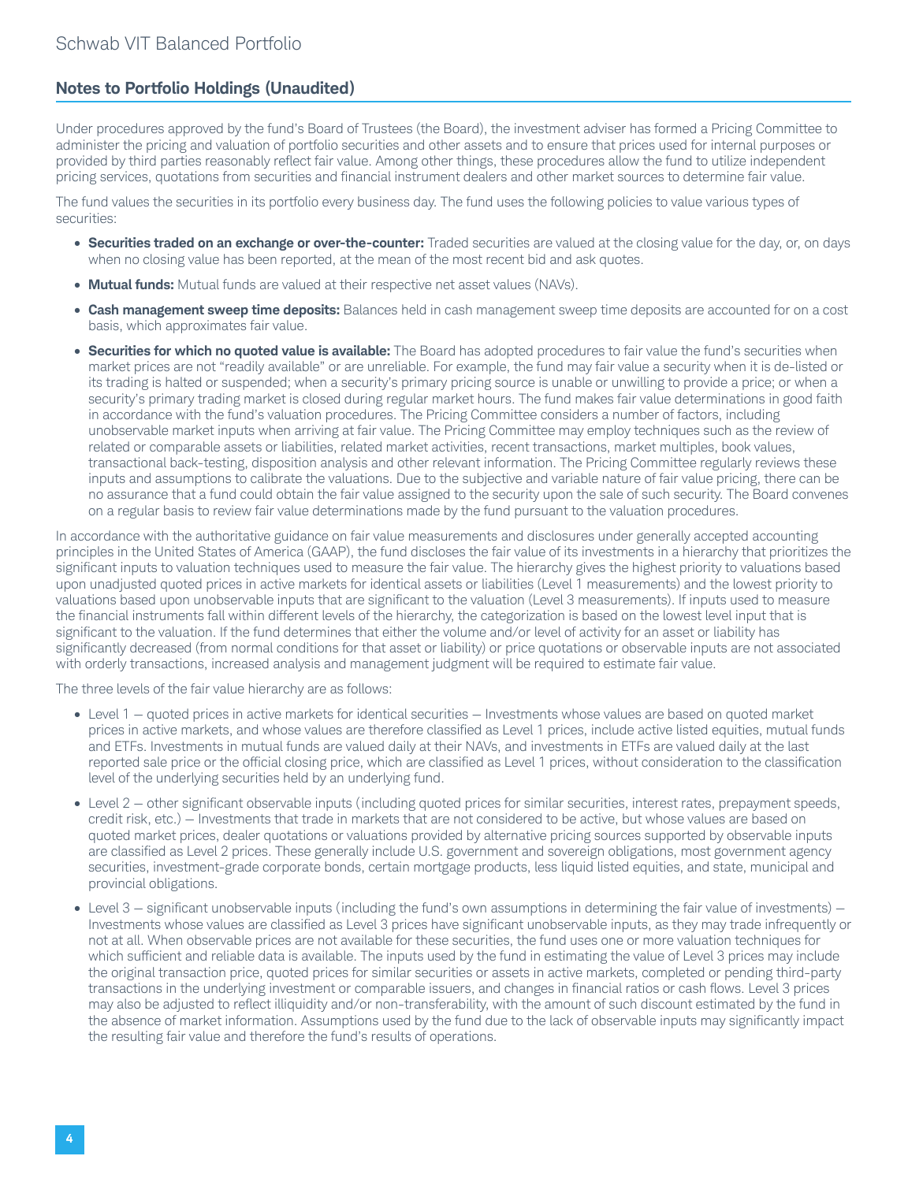#### **Notes to Portfolio Holdings (Unaudited)**

Under procedures approved by the fund's Board of Trustees (the Board), the investment adviser has formed a Pricing Committee to administer the pricing and valuation of portfolio securities and other assets and to ensure that prices used for internal purposes or provided by third parties reasonably reflect fair value. Among other things, these procedures allow the fund to utilize independent pricing services, quotations from securities and financial instrument dealers and other market sources to determine fair value.

The fund values the securities in its portfolio every business day. The fund uses the following policies to value various types of securities:

- **Securities traded on an exchange or over-the-counter:** Traded securities are valued at the closing value for the day, or, on days when no closing value has been reported, at the mean of the most recent bid and ask quotes.
- **Mutual funds:** Mutual funds are valued at their respective net asset values (NAVs).
- **Cash management sweep time deposits:** Balances held in cash management sweep time deposits are accounted for on a cost basis, which approximates fair value.
- **Securities for which no quoted value is available:** The Board has adopted procedures to fair value the fund's securities when market prices are not "readily available" or are unreliable. For example, the fund may fair value a security when it is de-listed or its trading is halted or suspended; when a security's primary pricing source is unable or unwilling to provide a price; or when a security's primary trading market is closed during regular market hours. The fund makes fair value determinations in good faith in accordance with the fund's valuation procedures. The Pricing Committee considers a number of factors, including unobservable market inputs when arriving at fair value. The Pricing Committee may employ techniques such as the review of related or comparable assets or liabilities, related market activities, recent transactions, market multiples, book values, transactional back-testing, disposition analysis and other relevant information. The Pricing Committee regularly reviews these inputs and assumptions to calibrate the valuations. Due to the subjective and variable nature of fair value pricing, there can be no assurance that a fund could obtain the fair value assigned to the security upon the sale of such security. The Board convenes on a regular basis to review fair value determinations made by the fund pursuant to the valuation procedures.

In accordance with the authoritative guidance on fair value measurements and disclosures under generally accepted accounting principles in the United States of America (GAAP), the fund discloses the fair value of its investments in a hierarchy that prioritizes the significant inputs to valuation techniques used to measure the fair value. The hierarchy gives the highest priority to valuations based upon unadjusted quoted prices in active markets for identical assets or liabilities (Level 1 measurements) and the lowest priority to valuations based upon unobservable inputs that are significant to the valuation (Level 3 measurements). If inputs used to measure the financial instruments fall within different levels of the hierarchy, the categorization is based on the lowest level input that is significant to the valuation. If the fund determines that either the volume and/or level of activity for an asset or liability has significantly decreased (from normal conditions for that asset or liability) or price quotations or observable inputs are not associated with orderly transactions, increased analysis and management judgment will be required to estimate fair value.

The three levels of the fair value hierarchy are as follows:

- Level 1 quoted prices in active markets for identical securities Investments whose values are based on quoted market prices in active markets, and whose values are therefore classified as Level 1 prices, include active listed equities, mutual funds and ETFs. Investments in mutual funds are valued daily at their NAVs, and investments in ETFs are valued daily at the last reported sale price or the official closing price, which are classified as Level 1 prices, without consideration to the classification level of the underlying securities held by an underlying fund.
- Level 2 other significant observable inputs (including quoted prices for similar securities, interest rates, prepayment speeds, credit risk, etc.) — Investments that trade in markets that are not considered to be active, but whose values are based on quoted market prices, dealer quotations or valuations provided by alternative pricing sources supported by observable inputs are classified as Level 2 prices. These generally include U.S. government and sovereign obligations, most government agency securities, investment-grade corporate bonds, certain mortgage products, less liquid listed equities, and state, municipal and provincial obligations.
- Level 3 significant unobservable inputs (including the fund's own assumptions in determining the fair value of investments) Investments whose values are classified as Level 3 prices have significant unobservable inputs, as they may trade infrequently or not at all. When observable prices are not available for these securities, the fund uses one or more valuation techniques for which sufficient and reliable data is available. The inputs used by the fund in estimating the value of Level 3 prices may include the original transaction price, quoted prices for similar securities or assets in active markets, completed or pending third-party transactions in the underlying investment or comparable issuers, and changes in financial ratios or cash flows. Level 3 prices may also be adjusted to reflect illiquidity and/or non-transferability, with the amount of such discount estimated by the fund in the absence of market information. Assumptions used by the fund due to the lack of observable inputs may significantly impact the resulting fair value and therefore the fund's results of operations.